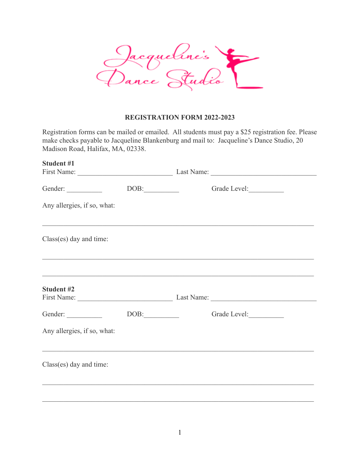

## **REGISTRATION FORM 2022-2023**

Registration forms can be mailed or emailed. All students must pay a \$25 registration fee. Please make checks payable to Jacqueline Blankenburg and mail to: Jacqueline's Dance Studio, 20 Madison Road, Halifax, MA, 02338.

| <b>Student #1</b>           |                                  | First Name: Last Name: Last Name:                                                                                                                                     |
|-----------------------------|----------------------------------|-----------------------------------------------------------------------------------------------------------------------------------------------------------------------|
|                             | $DOB:\underline{\hspace{2.5cm}}$ | Grade Level:                                                                                                                                                          |
| Any allergies, if so, what: |                                  |                                                                                                                                                                       |
| Class(es) day and time:     |                                  | ,我们也不能在这里的时候,我们也不能在这里的时候,我们也不能会在这里,我们也不能会不能会不能会不能会不能会不能会。""我们,我们也不能会不能会不能会不能会不能会<br>,我们也不能在这里的时候,我们也不能在这里的时候,我们也不能在这里的时候,我们也不能会在这里的时候,我们也不能会在这里的时候,我们也不能会在这里的时候,我们也不能 |
| <b>Student #2</b>           |                                  | ,我们也不能在这里的人,我们也不能在这里的人,我们也不能在这里的人,我们也不能在这里的人,我们也不能在这里的人,我们也不能在这里的人,我们也不能在这里的人,我们也                                                                                     |
| Gender:                     | DOB:                             | Grade Level:                                                                                                                                                          |
| Any allergies, if so, what: |                                  |                                                                                                                                                                       |
| Class(es) day and time:     |                                  |                                                                                                                                                                       |
|                             |                                  |                                                                                                                                                                       |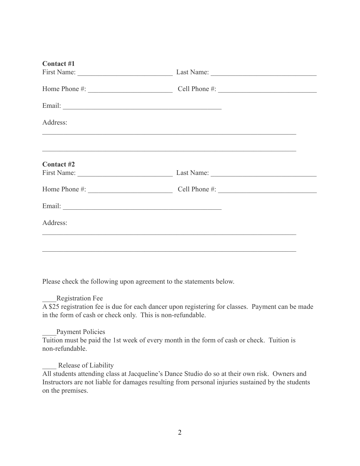| <b>Contact #1</b> |                                                                                                                      |               |  |  |
|-------------------|----------------------------------------------------------------------------------------------------------------------|---------------|--|--|
|                   |                                                                                                                      |               |  |  |
|                   |                                                                                                                      |               |  |  |
|                   |                                                                                                                      |               |  |  |
| Address:          | <u> 1989 - Johann John Harry Harry Harry Harry Harry Harry Harry Harry Harry Harry Harry Harry Harry Harry Harry</u> |               |  |  |
| Contact #2        | <u> 1980 - Jan James James Santan (j. 1980)</u>                                                                      |               |  |  |
|                   | Last Name:                                                                                                           |               |  |  |
| Home Phone #:     |                                                                                                                      | Cell Phone #: |  |  |
|                   |                                                                                                                      |               |  |  |
| Address:          |                                                                                                                      |               |  |  |
|                   |                                                                                                                      |               |  |  |
|                   |                                                                                                                      |               |  |  |

Please check the following upon agreement to the statements below.

## \_\_\_\_Registration Fee

A \$25 registration fee is due for each dancer upon registering for classes. Payment can be made in the form of cash or check only. This is non-refundable.

# Payment Policies

Tuition must be paid the 1st week of every month in the form of cash or check. Tuition is non-refundable.

## Release of Liability

All students attending class at Jacqueline's Dance Studio do so at their own risk. Owners and Instructors are not liable for damages resulting from personal injuries sustained by the students on the premises.